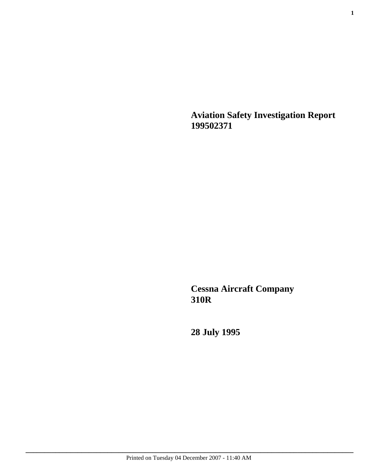**Aviation Safety Investigation Report 199502371**

**Cessna Aircraft Company 310R**

**28 July 1995**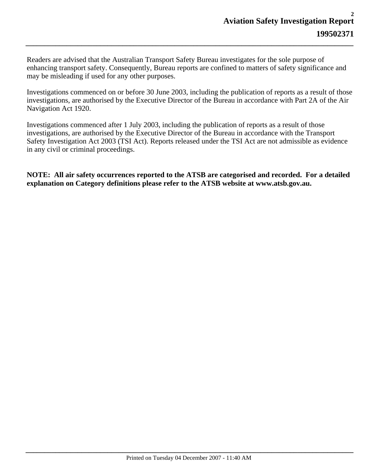Readers are advised that the Australian Transport Safety Bureau investigates for the sole purpose of enhancing transport safety. Consequently, Bureau reports are confined to matters of safety significance and may be misleading if used for any other purposes.

*\_\_\_\_\_\_\_\_\_\_\_\_\_\_\_\_\_\_\_\_\_\_\_\_\_\_\_\_\_\_\_\_\_\_\_\_\_\_\_\_\_\_\_\_\_\_\_\_\_\_\_\_\_\_\_\_\_\_\_\_\_\_\_\_\_\_\_\_\_\_\_\_\_\_\_\_\_\_\_\_\_\_\_\_\_\_\_\_*

Investigations commenced on or before 30 June 2003, including the publication of reports as a result of those investigations, are authorised by the Executive Director of the Bureau in accordance with Part 2A of the Air Navigation Act 1920.

Investigations commenced after 1 July 2003, including the publication of reports as a result of those investigations, are authorised by the Executive Director of the Bureau in accordance with the Transport Safety Investigation Act 2003 (TSI Act). Reports released under the TSI Act are not admissible as evidence in any civil or criminal proceedings.

**NOTE: All air safety occurrences reported to the ATSB are categorised and recorded. For a detailed explanation on Category definitions please refer to the ATSB website at www.atsb.gov.au.**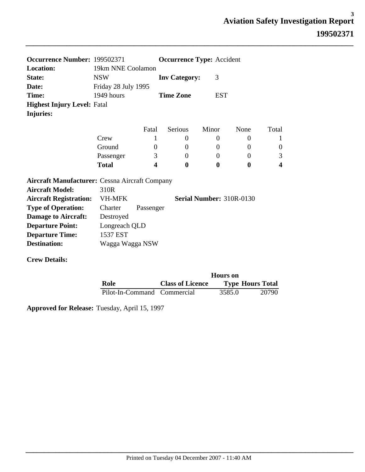| Occurrence Number: 199502371                          |                     |                          | <b>Occurrence Type: Accident</b> |                |          |                         |
|-------------------------------------------------------|---------------------|--------------------------|----------------------------------|----------------|----------|-------------------------|
| <b>Location:</b>                                      | 19km NNE Coolamon   |                          |                                  |                |          |                         |
| State:                                                | <b>NSW</b>          |                          | <b>Inv Category:</b>             | 3              |          |                         |
| Date:                                                 | Friday 28 July 1995 |                          |                                  |                |          |                         |
| Time:                                                 | 1949 hours          | <b>Time Zone</b>         |                                  | <b>EST</b>     |          |                         |
| <b>Highest Injury Level: Fatal</b>                    |                     |                          |                                  |                |          |                         |
| Injuries:                                             |                     |                          |                                  |                |          |                         |
|                                                       |                     | Fatal                    | <b>Serious</b>                   | Minor          | None     | Total                   |
|                                                       | Crew                |                          | $\theta$                         | $\theta$       | $\theta$ | 1                       |
|                                                       | Ground              | 0                        | $\Omega$                         | $\overline{0}$ | $\Omega$ | $\boldsymbol{0}$        |
|                                                       | Passenger           | 3                        | $\Omega$                         | $\Omega$       | $\Omega$ | 3                       |
|                                                       | <b>Total</b>        | 4                        | 0                                | 0              | $\bf{0}$ | $\overline{\mathbf{4}}$ |
| <b>Aircraft Manufacturer: Cessna Aircraft Company</b> |                     |                          |                                  |                |          |                         |
| <b>Aircraft Model:</b>                                | 310R                |                          |                                  |                |          |                         |
| <b>Aircraft Registration:</b>                         | <b>VH-MFK</b>       | Serial Number: 310R-0130 |                                  |                |          |                         |
| <b>Type of Operation:</b>                             | Charter             | Passenger                |                                  |                |          |                         |
| <b>Damage to Aircraft:</b>                            | Destroyed           |                          |                                  |                |          |                         |
| <b>Departure Point:</b>                               | Longreach QLD       |                          |                                  |                |          |                         |
| <b>Departure Time:</b>                                | 1537 EST            |                          |                                  |                |          |                         |
| <b>Destination:</b>                                   | Wagga Wagga NSW     |                          |                                  |                |          |                         |
|                                                       |                     |                          |                                  |                |          |                         |

**Crew Details:**

|                             | <b>Hours</b> on         |        |                         |  |  |
|-----------------------------|-------------------------|--------|-------------------------|--|--|
| Role                        | <b>Class of Licence</b> |        | <b>Type Hours Total</b> |  |  |
| Pilot-In-Command Commercial |                         | 3585.0 | 20790                   |  |  |

*\_\_\_\_\_\_\_\_\_\_\_\_\_\_\_\_\_\_\_\_\_\_\_\_\_\_\_\_\_\_\_\_\_\_\_\_\_\_\_\_\_\_\_\_\_\_\_\_\_\_\_\_\_\_\_\_\_\_\_\_\_\_\_\_\_\_\_\_\_\_\_\_\_\_\_\_\_\_\_\_\_\_\_\_\_\_\_\_*

**Approved for Release:** Tuesday, April 15, 1997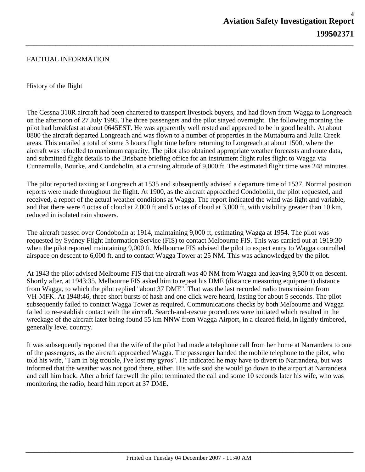## FACTUAL INFORMATION

## History of the flight

The Cessna 310R aircraft had been chartered to transport livestock buyers, and had flown from Wagga to Longreach on the afternoon of 27 July 1995. The three passengers and the pilot stayed overnight. The following morning the pilot had breakfast at about 0645EST. He was apparently well rested and appeared to be in good health. At about 0800 the aircraft departed Longreach and was flown to a number of properties in the Muttaburra and Julia Creek areas. This entailed a total of some 3 hours flight time before returning to Longreach at about 1500, where the aircraft was refuelled to maximum capacity. The pilot also obtained appropriate weather forecasts and route data, and submitted flight details to the Brisbane briefing office for an instrument flight rules flight to Wagga via Cunnamulla, Bourke, and Condobolin, at a cruising altitude of 9,000 ft. The estimated flight time was 248 minutes.

*\_\_\_\_\_\_\_\_\_\_\_\_\_\_\_\_\_\_\_\_\_\_\_\_\_\_\_\_\_\_\_\_\_\_\_\_\_\_\_\_\_\_\_\_\_\_\_\_\_\_\_\_\_\_\_\_\_\_\_\_\_\_\_\_\_\_\_\_\_\_\_\_\_\_\_\_\_\_\_\_\_\_\_\_\_\_\_\_*

The pilot reported taxiing at Longreach at 1535 and subsequently advised a departure time of 1537. Normal position reports were made throughout the flight. At 1900, as the aircraft approached Condobolin, the pilot requested, and received, a report of the actual weather conditions at Wagga. The report indicated the wind was light and variable, and that there were 4 octas of cloud at 2,000 ft and 5 octas of cloud at 3,000 ft, with visibility greater than 10 km, reduced in isolated rain showers.

The aircraft passed over Condobolin at 1914, maintaining 9,000 ft, estimating Wagga at 1954. The pilot was requested by Sydney Flight Information Service (FIS) to contact Melbourne FIS. This was carried out at 1919:30 when the pilot reported maintaining 9,000 ft. Melbourne FIS advised the pilot to expect entry to Wagga controlled airspace on descent to 6,000 ft, and to contact Wagga Tower at 25 NM. This was acknowledged by the pilot.

At 1943 the pilot advised Melbourne FIS that the aircraft was 40 NM from Wagga and leaving 9,500 ft on descent. Shortly after, at 1943:35, Melbourne FIS asked him to repeat his DME (distance measuring equipment) distance from Wagga, to which the pilot replied "about 37 DME". That was the last recorded radio transmission from VH-MFK. At 1948:46, three short bursts of hash and one click were heard, lasting for about 5 seconds. The pilot subsequently failed to contact Wagga Tower as required. Communications checks by both Melbourne and Wagga failed to re-establish contact with the aircraft. Search-and-rescue procedures were initiated which resulted in the wreckage of the aircraft later being found 55 km NNW from Wagga Airport, in a cleared field, in lightly timbered, generally level country.

It was subsequently reported that the wife of the pilot had made a telephone call from her home at Narrandera to one of the passengers, as the aircraft approached Wagga. The passenger handed the mobile telephone to the pilot, who told his wife, "I am in big trouble, I've lost my gyros". He indicated he may have to divert to Narrandera, but was informed that the weather was not good there, either. His wife said she would go down to the airport at Narrandera and call him back. After a brief farewell the pilot terminated the call and some 10 seconds later his wife, who was monitoring the radio, heard him report at 37 DME.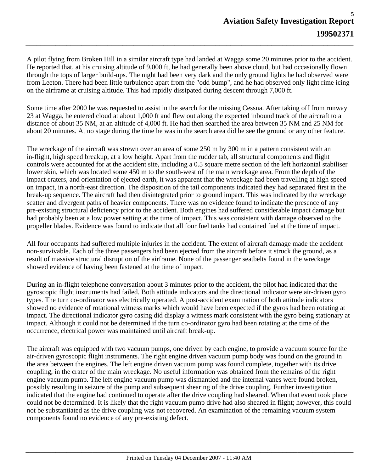A pilot flying from Broken Hill in a similar aircraft type had landed at Wagga some 20 minutes prior to the accident. He reported that, at his cruising altitude of 9,000 ft, he had generally been above cloud, but had occasionally flown through the tops of larger build-ups. The night had been very dark and the only ground lights he had observed were from Leeton. There had been little turbulence apart from the "odd bump", and he had observed only light rime icing on the airframe at cruising altitude. This had rapidly dissipated during descent through 7,000 ft.

*\_\_\_\_\_\_\_\_\_\_\_\_\_\_\_\_\_\_\_\_\_\_\_\_\_\_\_\_\_\_\_\_\_\_\_\_\_\_\_\_\_\_\_\_\_\_\_\_\_\_\_\_\_\_\_\_\_\_\_\_\_\_\_\_\_\_\_\_\_\_\_\_\_\_\_\_\_\_\_\_\_\_\_\_\_\_\_\_*

Some time after 2000 he was requested to assist in the search for the missing Cessna. After taking off from runway 23 at Wagga, he entered cloud at about 1,000 ft and flew out along the expected inbound track of the aircraft to a distance of about 35 NM, at an altitude of 4,000 ft. He had then searched the area between 35 NM and 25 NM for about 20 minutes. At no stage during the time he was in the search area did he see the ground or any other feature.

The wreckage of the aircraft was strewn over an area of some 250 m by 300 m in a pattern consistent with an in-flight, high speed breakup, at a low height. Apart from the rudder tab, all structural components and flight controls were accounted for at the accident site, including a 0.5 square metre section of the left horizontal stabiliser lower skin, which was located some 450 m to the south-west of the main wreckage area. From the depth of the impact craters, and orientation of ejected earth, it was apparent that the wreckage had been travelling at high speed on impact, in a north-east direction. The disposition of the tail components indicated they had separated first in the break-up sequence. The aircraft had then disintegrated prior to ground impact. This was indicated by the wreckage scatter and divergent paths of heavier components. There was no evidence found to indicate the presence of any pre-existing structural deficiency prior to the accident. Both engines had suffered considerable impact damage but had probably been at a low power setting at the time of impact. This was consistent with damage observed to the propeller blades. Evidence was found to indicate that all four fuel tanks had contained fuel at the time of impact.

All four occupants had suffered multiple injuries in the accident. The extent of aircraft damage made the accident non-survivable. Each of the three passengers had been ejected from the aircraft before it struck the ground, as a result of massive structural disruption of the airframe. None of the passenger seatbelts found in the wreckage showed evidence of having been fastened at the time of impact.

During an in-flight telephone conversation about 3 minutes prior to the accident, the pilot had indicated that the gyroscopic flight instruments had failed. Both attitude indicators and the directional indicator were air-driven gyro types. The turn co-ordinator was electrically operated. A post-accident examination of both attitude indicators showed no evidence of rotational witness marks which would have been expected if the gyros had been rotating at impact. The directional indicator gyro casing did display a witness mark consistent with the gyro being stationary at impact. Although it could not be determined if the turn co-ordinator gyro had been rotating at the time of the occurrence, electrical power was maintained until aircraft break-up.

The aircraft was equipped with two vacuum pumps, one driven by each engine, to provide a vacuum source for the air-driven gyroscopic flight instruments. The right engine driven vacuum pump body was found on the ground in the area between the engines. The left engine driven vacuum pump was found complete, together with its drive coupling, in the crater of the main wreckage. No useful information was obtained from the remains of the right engine vacuum pump. The left engine vacuum pump was dismantled and the internal vanes were found broken, possibly resulting in seizure of the pump and subsequent shearing of the drive coupling. Further investigation indicated that the engine had continued to operate after the drive coupling had sheared. When that event took place could not be determined. It is likely that the right vacuum pump drive had also sheared in flight; however, this could not be substantiated as the drive coupling was not recovered. An examination of the remaining vacuum system components found no evidence of any pre-existing defect.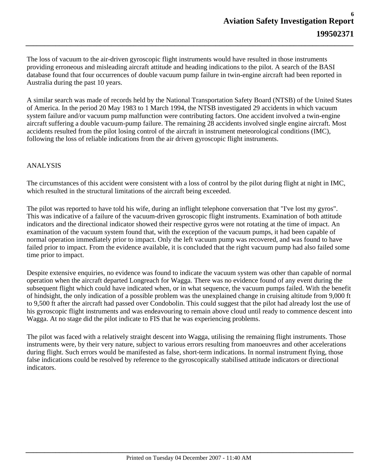The loss of vacuum to the air-driven gyroscopic flight instruments would have resulted in those instruments providing erroneous and misleading aircraft attitude and heading indications to the pilot. A search of the BASI database found that four occurrences of double vacuum pump failure in twin-engine aircraft had been reported in Australia during the past 10 years.

*\_\_\_\_\_\_\_\_\_\_\_\_\_\_\_\_\_\_\_\_\_\_\_\_\_\_\_\_\_\_\_\_\_\_\_\_\_\_\_\_\_\_\_\_\_\_\_\_\_\_\_\_\_\_\_\_\_\_\_\_\_\_\_\_\_\_\_\_\_\_\_\_\_\_\_\_\_\_\_\_\_\_\_\_\_\_\_\_*

A similar search was made of records held by the National Transportation Safety Board (NTSB) of the United States of America. In the period 20 May 1983 to 1 March 1994, the NTSB investigated 29 accidents in which vacuum system failure and/or vacuum pump malfunction were contributing factors. One accident involved a twin-engine aircraft suffering a double vacuum-pump failure. The remaining 28 accidents involved single engine aircraft. Most accidents resulted from the pilot losing control of the aircraft in instrument meteorological conditions (IMC), following the loss of reliable indications from the air driven gyroscopic flight instruments.

# ANALYSIS

The circumstances of this accident were consistent with a loss of control by the pilot during flight at night in IMC, which resulted in the structural limitations of the aircraft being exceeded.

The pilot was reported to have told his wife, during an inflight telephone conversation that "I've lost my gyros". This was indicative of a failure of the vacuum-driven gyroscopic flight instruments. Examination of both attitude indicators and the directional indicator showed their respective gyros were not rotating at the time of impact. An examination of the vacuum system found that, with the exception of the vacuum pumps, it had been capable of normal operation immediately prior to impact. Only the left vacuum pump was recovered, and was found to have failed prior to impact. From the evidence available, it is concluded that the right vacuum pump had also failed some time prior to impact.

Despite extensive enquiries, no evidence was found to indicate the vacuum system was other than capable of normal operation when the aircraft departed Longreach for Wagga. There was no evidence found of any event during the subsequent flight which could have indicated when, or in what sequence, the vacuum pumps failed. With the benefit of hindsight, the only indication of a possible problem was the unexplained change in cruising altitude from 9,000 ft to 9,500 ft after the aircraft had passed over Condobolin. This could suggest that the pilot had already lost the use of his gyroscopic flight instruments and was endeavouring to remain above cloud until ready to commence descent into Wagga. At no stage did the pilot indicate to FIS that he was experiencing problems.

The pilot was faced with a relatively straight descent into Wagga, utilising the remaining flight instruments. Those instruments were, by their very nature, subject to various errors resulting from manoeuvres and other accelerations during flight. Such errors would be manifested as false, short-term indications. In normal instrument flying, those false indications could be resolved by reference to the gyroscopically stabilised attitude indicators or directional indicators.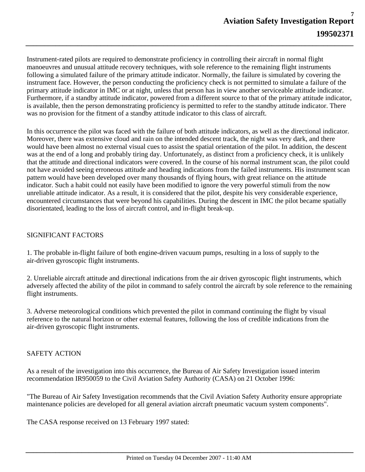Instrument-rated pilots are required to demonstrate proficiency in controlling their aircraft in normal flight manoeuvres and unusual attitude recovery techniques, with sole reference to the remaining flight instruments following a simulated failure of the primary attitude indicator. Normally, the failure is simulated by covering the instrument face. However, the person conducting the proficiency check is not permitted to simulate a failure of the primary attitude indicator in IMC or at night, unless that person has in view another serviceable attitude indicator. Furthermore, if a standby attitude indicator, powered from a different source to that of the primary attitude indicator, is available, then the person demonstrating proficiency is permitted to refer to the standby attitude indicator. There was no provision for the fitment of a standby attitude indicator to this class of aircraft.

*\_\_\_\_\_\_\_\_\_\_\_\_\_\_\_\_\_\_\_\_\_\_\_\_\_\_\_\_\_\_\_\_\_\_\_\_\_\_\_\_\_\_\_\_\_\_\_\_\_\_\_\_\_\_\_\_\_\_\_\_\_\_\_\_\_\_\_\_\_\_\_\_\_\_\_\_\_\_\_\_\_\_\_\_\_\_\_\_*

In this occurrence the pilot was faced with the failure of both attitude indicators, as well as the directional indicator. Moreover, there was extensive cloud and rain on the intended descent track, the night was very dark, and there would have been almost no external visual cues to assist the spatial orientation of the pilot. In addition, the descent was at the end of a long and probably tiring day. Unfortunately, as distinct from a proficiency check, it is unlikely that the attitude and directional indicators were covered. In the course of his normal instrument scan, the pilot could not have avoided seeing erroneous attitude and heading indications from the failed instruments. His instrument scan pattern would have been developed over many thousands of flying hours, with great reliance on the attitude indicator. Such a habit could not easily have been modified to ignore the very powerful stimuli from the now unreliable attitude indicator. As a result, it is considered that the pilot, despite his very considerable experience, encountered circumstances that were beyond his capabilities. During the descent in IMC the pilot became spatially disorientated, leading to the loss of aircraft control, and in-flight break-up.

## SIGNIFICANT FACTORS

1. The probable in-flight failure of both engine-driven vacuum pumps, resulting in a loss of supply to the air-driven gyroscopic flight instruments.

2. Unreliable aircraft attitude and directional indications from the air driven gyroscopic flight instruments, which adversely affected the ability of the pilot in command to safely control the aircraft by sole reference to the remaining flight instruments.

3. Adverse meteorological conditions which prevented the pilot in command continuing the flight by visual reference to the natural horizon or other external features, following the loss of credible indications from the air-driven gyroscopic flight instruments.

#### SAFETY ACTION

As a result of the investigation into this occurrence, the Bureau of Air Safety Investigation issued interim recommendation IR950059 to the Civil Aviation Safety Authority (CASA) on 21 October 1996:

"The Bureau of Air Safety Investigation recommends that the Civil Aviation Safety Authority ensure appropriate maintenance policies are developed for all general aviation aircraft pneumatic vacuum system components".

The CASA response received on 13 February 1997 stated: